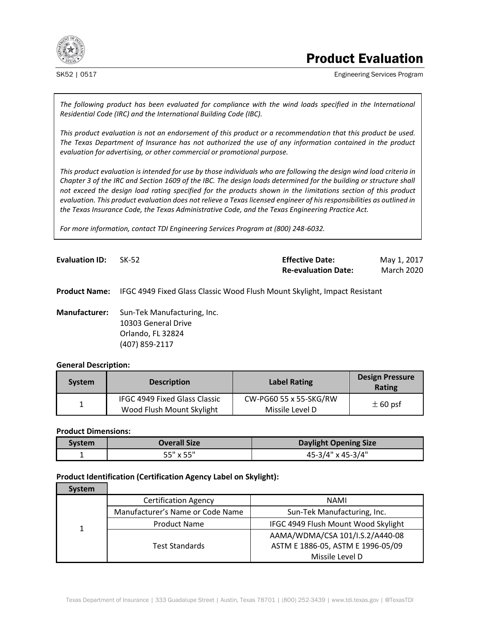

# Product Evaluation

SK52 | 0517 Engineering Services Program

*The following product has been evaluated for compliance with the wind loads specified in the International Residential Code (IRC) and the International Building Code (IBC).*

*This product evaluation is not an endorsement of this product or a recommendation that this product be used. The Texas Department of Insurance has not authorized the use of any information contained in the product evaluation for advertising, or other commercial or promotional purpose.*

*This product evaluation is intended for use by those individuals who are following the design wind load criteria in Chapter 3 of the IRC and Section 1609 of the IBC. The design loads determined for the building or structure shall not exceed the design load rating specified for the products shown in the limitations section of this product evaluation. This product evaluation does not relieve a Texas licensed engineer of his responsibilities as outlined in the Texas Insurance Code, the Texas Administrative Code, and the Texas Engineering Practice Act.*

*For more information, contact TDI Engineering Services Program at (800) 248-6032.*

| <b>Evaluation ID:</b><br>SK-52 | <b>Effective Date:</b>     | May 1, 2017 |
|--------------------------------|----------------------------|-------------|
|                                | <b>Re-evaluation Date:</b> | March 2020  |

**Product Name:** IFGC 4949 Fixed Glass Classic Wood Flush Mount Skylight, Impact Resistant

**Manufacturer:** Sun-Tek Manufacturing, Inc. 10303 General Drive Orlando, FL 32824 (407) 859-2117

### **General Description:**

| <b>System</b> | <b>Description</b>                                                | <b>Label Rating</b>                       | <b>Design Pressure</b><br><b>Rating</b> |
|---------------|-------------------------------------------------------------------|-------------------------------------------|-----------------------------------------|
| ⊥             | <b>IFGC 4949 Fixed Glass Classic</b><br>Wood Flush Mount Skylight | CW-PG60 55 x 55-SKG/RW<br>Missile Level D | $\pm$ 60 psf                            |

# **Product Dimensions:**

| svstem | <b>Overall Size</b> | <b>Daylight Opening Size</b> |
|--------|---------------------|------------------------------|
|        | 55" x 55"           | 45-3/4" x 45-3/4"            |

# **Product Identification (Certification Agency Label on Skylight):**

| <b>System</b> |                                  |                                     |
|---------------|----------------------------------|-------------------------------------|
|               | <b>Certification Agency</b>      | NAMI                                |
|               | Manufacturer's Name or Code Name | Sun-Tek Manufacturing, Inc.         |
|               | <b>Product Name</b>              | IFGC 4949 Flush Mount Wood Skylight |
|               |                                  | AAMA/WDMA/CSA 101/I.S.2/A440-08     |
|               | <b>Test Standards</b>            | ASTM E 1886-05, ASTM E 1996-05/09   |
|               |                                  | Missile Level D                     |